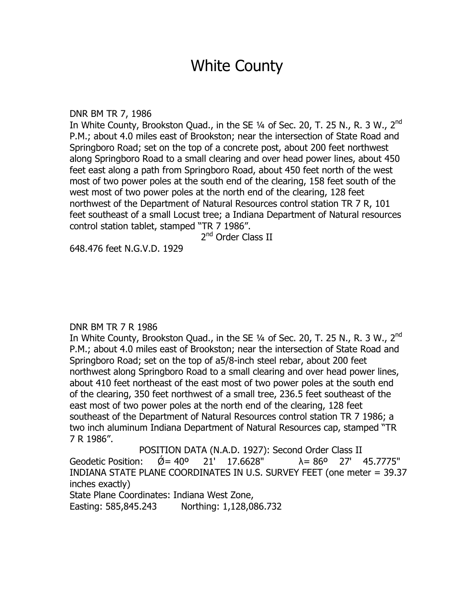# White County

DNR BM TR 7, 1986

In White County, Brookston Quad., in the SE  $\frac{1}{4}$  of Sec. 20, T. 25 N., R. 3 W., 2<sup>nd</sup> P.M.; about 4.0 miles east of Brookston; near the intersection of State Road and Springboro Road; set on the top of a concrete post, about 200 feet northwest along Springboro Road to a small clearing and over head power lines, about 450 feet east along a path from Springboro Road, about 450 feet north of the west most of two power poles at the south end of the clearing, 158 feet south of the west most of two power poles at the north end of the clearing, 128 feet northwest of the Department of Natural Resources control station TR 7 R, 101 feet southeast of a small Locust tree; a Indiana Department of Natural resources control station tablet, stamped "TR 7 1986".

2<sup>nd</sup> Order Class II

648.476 feet N.G.V.D. 1929

# DNR BM TR 7 R 1986

In White County, Brookston Quad., in the SE  $\frac{1}{4}$  of Sec. 20, T. 25 N., R. 3 W., 2<sup>nd</sup> P.M.; about 4.0 miles east of Brookston; near the intersection of State Road and Springboro Road; set on the top of a5/8-inch steel rebar, about 200 feet northwest along Springboro Road to a small clearing and over head power lines, about 410 feet northeast of the east most of two power poles at the south end of the clearing, 350 feet northwest of a small tree, 236.5 feet southeast of the east most of two power poles at the north end of the clearing, 128 feet southeast of the Department of Natural Resources control station TR 7 1986; a two inch aluminum Indiana Department of Natural Resources cap, stamped "TR 7 R 1986".

POSITION DATA (N.A.D. 1927): Second Order Class II Geodetic Position:  $\acute{Q}$  = 40° 21' 17.6628"  $\lambda$  = 86° 27' 45.7775" INDIANA STATE PLANE COORDINATES IN U.S. SURVEY FEET (one meter = 39.37 inches exactly) State Plane Coordinates: Indiana West Zone, Easting: 585,845.243 Northing: 1,128,086.732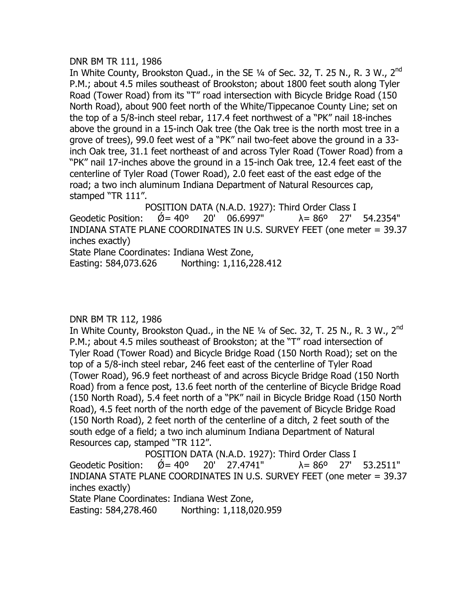#### DNR BM TR 111, 1986

In White County, Brookston Ouad., in the SE 1/4 of Sec. 32, T. 25 N., R. 3 W., 2<sup>nd</sup> P.M.; about 4.5 miles southeast of Brookston; about 1800 feet south along Tyler Road (Tower Road) from its "T" road intersection with Bicycle Bridge Road (150 North Road), about 900 feet north of the White/Tippecanoe County Line; set on the top of a 5/8-inch steel rebar, 117.4 feet northwest of a "PK" nail 18-inches above the ground in a 15-inch Oak tree (the Oak tree is the north most tree in a grove of trees), 99.0 feet west of a "PK" nail two-feet above the ground in a 33 inch Oak tree, 31.1 feet northeast of and across Tyler Road (Tower Road) from a "PK" nail 17-inches above the ground in a 15-inch Oak tree, 12.4 feet east of the centerline of Tyler Road (Tower Road), 2.0 feet east of the east edge of the road; a two inch aluminum Indiana Department of Natural Resources cap, stamped "TR 111".

POSITION DATA (N.A.D. 1927): Third Order Class I Geodetic Position:  $\check{Q} = 40^{\circ}$  20' 06.6997"  $\lambda = 86^{\circ}$  27' 54.2354" INDIANA STATE PLANE COORDINATES IN U.S. SURVEY FEET (one meter = 39.37 inches exactly) State Plane Coordinates: Indiana West Zone, Easting: 584,073.626 Northing: 1,116,228.412

# DNR BM TR 112, 1986

In White County, Brookston Quad., in the NE  $\frac{1}{4}$  of Sec. 32, T. 25 N., R. 3 W., 2<sup>nd</sup> P.M.; about 4.5 miles southeast of Brookston; at the "T" road intersection of Tyler Road (Tower Road) and Bicycle Bridge Road (150 North Road); set on the top of a 5/8-inch steel rebar, 246 feet east of the centerline of Tyler Road (Tower Road), 96.9 feet northeast of and across Bicycle Bridge Road (150 North Road) from a fence post, 13.6 feet north of the centerline of Bicycle Bridge Road (150 North Road), 5.4 feet north of a "PK" nail in Bicycle Bridge Road (150 North Road), 4.5 feet north of the north edge of the pavement of Bicycle Bridge Road (150 North Road), 2 feet north of the centerline of a ditch, 2 feet south of the south edge of a field; a two inch aluminum Indiana Department of Natural Resources cap, stamped "TR 112".

POSITION DATA (N.A.D. 1927): Third Order Class I Geodetic Position:  $\acute{Q} = 40^{\circ}$  20' 27.4741"  $\lambda = 86^{\circ}$  27' 53.2511" INDIANA STATE PLANE COORDINATES IN U.S. SURVEY FEET (one meter = 39.37 inches exactly) State Plane Coordinates: Indiana West Zone,

Easting: 584,278.460 Northing: 1,118,020.959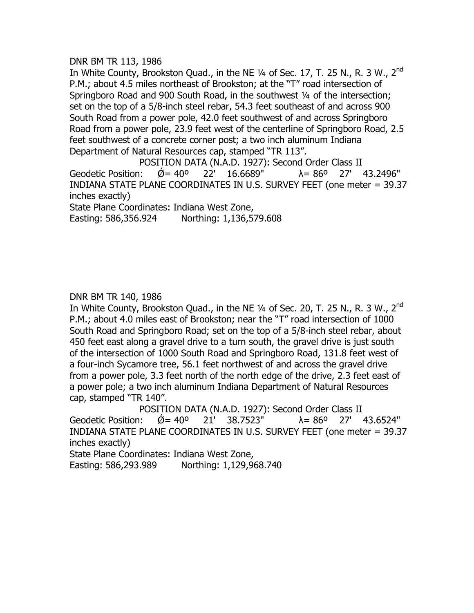# DNR BM TR 113, 1986

In White County, Brookston Quad., in the NE  $\frac{1}{4}$  of Sec. 17, T. 25 N., R. 3 W., 2<sup>nd</sup> P.M.; about 4.5 miles northeast of Brookston; at the "T" road intersection of Springboro Road and 900 South Road, in the southwest 1/4 of the intersection; set on the top of a 5/8-inch steel rebar, 54.3 feet southeast of and across 900 South Road from a power pole, 42.0 feet southwest of and across Springboro Road from a power pole, 23.9 feet west of the centerline of Springboro Road, 2.5 feet southwest of a concrete corner post; a two inch aluminum Indiana Department of Natural Resources cap, stamped "TR 113".

POSITION DATA (N.A.D. 1927): Second Order Class II Geodetic Position:  $\varnothing$  = 40° 22′ 16.6689″  $\lambda$  = 86° 27′ 43.2496″ INDIANA STATE PLANE COORDINATES IN U.S. SURVEY FEET (one meter = 39.37 inches exactly)

State Plane Coordinates: Indiana West Zone, Easting: 586,356.924 Northing: 1,136,579.608

DNR BM TR 140, 1986

In White County, Brookston Quad., in the NE  $\frac{1}{4}$  of Sec. 20, T. 25 N., R. 3 W., 2<sup>nd</sup> P.M.; about 4.0 miles east of Brookston; near the "T" road intersection of 1000 South Road and Springboro Road; set on the top of a 5/8-inch steel rebar, about 450 feet east along a gravel drive to a turn south, the gravel drive is just south of the intersection of 1000 South Road and Springboro Road, 131.8 feet west of a four-inch Sycamore tree, 56.1 feet northwest of and across the gravel drive from a power pole, 3.3 feet north of the north edge of the drive, 2.3 feet east of a power pole; a two inch aluminum Indiana Department of Natural Resources cap, stamped "TR 140".

POSITION DATA (N.A.D. 1927): Second Order Class II Geodetic Position:  $\acute{Q} = 40^{\circ}$  21' 38.7523"  $\lambda = 86^{\circ}$  27' 43.6524" INDIANA STATE PLANE COORDINATES IN U.S. SURVEY FEET (one meter = 39.37 inches exactly)

State Plane Coordinates: Indiana West Zone,

Easting: 586,293.989 Northing: 1,129,968.740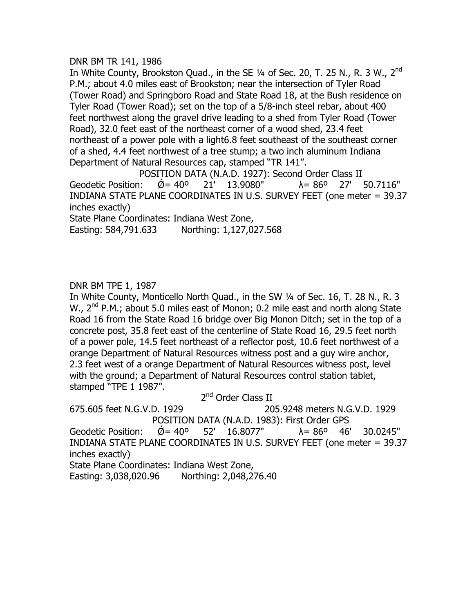# DNR BM TR 141, 1986

In White County, Brookston Quad., in the SE  $\frac{1}{4}$  of Sec. 20, T. 25 N., R. 3 W., 2<sup>nd</sup> P.M.; about 4.0 miles east of Brookston; near the intersection of Tyler Road (Tower Road) and Springboro Road and State Road 18, at the Bush residence on Tyler Road (Tower Road); set on the top of a 5/8-inch steel rebar, about 400 feet northwest along the gravel drive leading to a shed from Tyler Road (Tower Road), 32.0 feet east of the northeast corner of a wood shed, 23.4 feet northeast of a power pole with a light6.8 feet southeast of the southeast corner of a shed, 4.4 feet northwest of a tree stump; a two inch aluminum Indiana Department of Natural Resources cap, stamped "TR 141".

POSITION DATA (N.A.D. 1927): Second Order Class II Geodetic Position:  $\acute{Q} = 40^{\circ}$  21' 13.9080"  $\lambda = 86^{\circ}$  27' 50.7116" INDIANA STATE PLANE COORDINATES IN U.S. SURVEY FEET (one meter = 39.37 inches exactly)

State Plane Coordinates: Indiana West Zone, Easting: 584,791.633 Northing: 1,127,027.568

# DNR BM TPE 1, 1987

In White County, Monticello North Quad., in the SW ¼ of Sec. 16, T. 28 N., R. 3 W., 2<sup>nd</sup> P.M.; about 5.0 miles east of Monon; 0.2 mile east and north along State Road 16 from the State Road 16 bridge over Big Monon Ditch; set in the top of a concrete post, 35.8 feet east of the centerline of State Road 16, 29.5 feet north of a power pole, 14.5 feet northeast of a reflector post, 10.6 feet northwest of a orange Department of Natural Resources witness post and a guy wire anchor, 2.3 feet west of a orange Department of Natural Resources witness post, level with the ground; a Department of Natural Resources control station tablet, stamped "TPE 1 1987".

# 2<sup>nd</sup> Order Class II

675.605 feet N.G.V.D. 1929 205.9248 meters N.G.V.D. 1929 POSITION DATA (N.A.D. 1983): First Order GPS Geodetic Position:  $\check{Q} = 40^{\circ}$  52' 16.8077"  $\lambda = 86^{\circ}$  46' 30.0245" INDIANA STATE PLANE COORDINATES IN U.S. SURVEY FEET (one meter = 39.37 inches exactly)

State Plane Coordinates: Indiana West Zone, Easting: 3,038,020.96 Northing: 2,048,276.40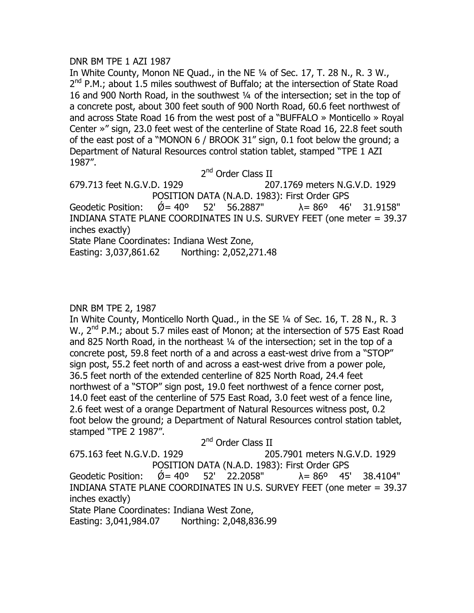#### DNR BM TPE 1 AZI 1987

In White County, Monon NE Quad., in the NE ¼ of Sec. 17, T. 28 N., R. 3 W.,  $2^{nd}$  P.M.; about 1.5 miles southwest of Buffalo; at the intersection of State Road 16 and 900 North Road, in the southwest ¼ of the intersection; set in the top of a concrete post, about 300 feet south of 900 North Road, 60.6 feet northwest of and across State Road 16 from the west post of a "BUFFALO » Monticello » Royal Center »" sign, 23.0 feet west of the centerline of State Road 16, 22.8 feet south of the east post of a "MONON 6 / BROOK 31" sign, 0.1 foot below the ground; a Department of Natural Resources control station tablet, stamped "TPE 1 AZI 1987".

2<sup>nd</sup> Order Class II

679.713 feet N.G.V.D. 1929 207.1769 meters N.G.V.D. 1929 POSITION DATA (N.A.D. 1983): First Order GPS Geodetic Position:  $\check{Q} = 40^{\circ}$  52' 56.2887"  $\lambda = 86^{\circ}$  46' 31.9158" INDIANA STATE PLANE COORDINATES IN U.S. SURVEY FEET (one meter = 39.37 inches exactly) State Plane Coordinates: Indiana West Zone,

Easting: 3,037,861.62 Northing: 2,052,271.48

## DNR BM TPE 2, 1987

In White County, Monticello North Quad., in the SE ¼ of Sec. 16, T. 28 N., R. 3 W., 2<sup>nd</sup> P.M.; about 5.7 miles east of Monon; at the intersection of 575 East Road and 825 North Road, in the northeast ¼ of the intersection; set in the top of a concrete post, 59.8 feet north of a and across a east-west drive from a "STOP" sign post, 55.2 feet north of and across a east-west drive from a power pole, 36.5 feet north of the extended centerline of 825 North Road, 24.4 feet northwest of a "STOP" sign post, 19.0 feet northwest of a fence corner post, 14.0 feet east of the centerline of 575 East Road, 3.0 feet west of a fence line, 2.6 feet west of a orange Department of Natural Resources witness post, 0.2 foot below the ground; a Department of Natural Resources control station tablet, stamped "TPE 2 1987".

| 2 <sup>nd</sup> Order Class II                                                        |  |  |                               |  |  |
|---------------------------------------------------------------------------------------|--|--|-------------------------------|--|--|
| 675.163 feet N.G.V.D. 1929                                                            |  |  | 205.7901 meters N.G.V.D. 1929 |  |  |
| POSITION DATA (N.A.D. 1983): First Order GPS                                          |  |  |                               |  |  |
| Geodetic Position: $\acute{\text{Q}}$ = 40° 52′ 22.2058″ $\lambda$ = 86° 45′ 38.4104″ |  |  |                               |  |  |
| INDIANA STATE PLANE COORDINATES IN U.S. SURVEY FEET (one meter = 39.37                |  |  |                               |  |  |
| inches exactly)                                                                       |  |  |                               |  |  |
| State Plane Coordinates: Indiana West Zone,                                           |  |  |                               |  |  |
| Easting: 3,041,984.07 Northing: 2,048,836.99                                          |  |  |                               |  |  |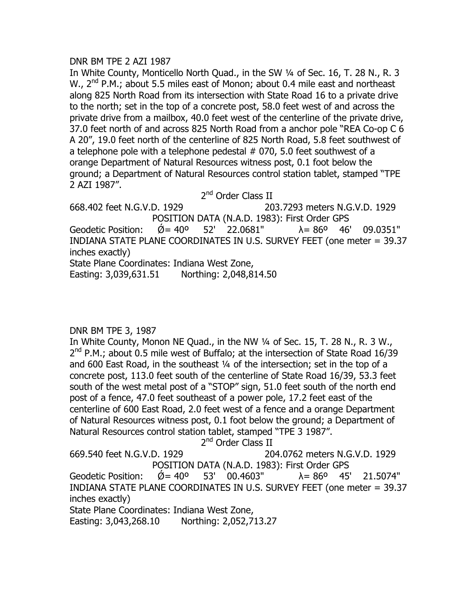#### DNR BM TPE 2 AZI 1987

In White County, Monticello North Quad., in the SW ¼ of Sec. 16, T. 28 N., R. 3 W.,  $2^{nd}$  P.M.; about 5.5 miles east of Monon; about 0.4 mile east and northeast along 825 North Road from its intersection with State Road 16 to a private drive to the north; set in the top of a concrete post, 58.0 feet west of and across the private drive from a mailbox, 40.0 feet west of the centerline of the private drive, 37.0 feet north of and across 825 North Road from a anchor pole "REA Co-op C 6 A 20", 19.0 feet north of the centerline of 825 North Road, 5.8 feet southwest of a telephone pole with a telephone pedestal # 070, 5.0 feet southwest of a orange Department of Natural Resources witness post, 0.1 foot below the ground; a Department of Natural Resources control station tablet, stamped "TPE 2 AZI 1987".

2<sup>nd</sup> Order Class II

668.402 feet N.G.V.D. 1929 203.7293 meters N.G.V.D. 1929 POSITION DATA (N.A.D. 1983): First Order GPS Geodetic Position:  $\acute{Q}$  = 40° 52' 22.0681"  $\lambda$  = 86° 46' 09.0351" INDIANA STATE PLANE COORDINATES IN U.S. SURVEY FEET (one meter = 39.37 inches exactly) State Plane Coordinates: Indiana West Zone, Easting: 3,039,631.51 Northing: 2,048,814.50

# DNR BM TPE 3, 1987

In White County, Monon NE Quad., in the NW 1/4 of Sec. 15, T. 28 N., R. 3 W.,  $2^{nd}$  P.M.; about 0.5 mile west of Buffalo; at the intersection of State Road 16/39 and 600 East Road, in the southeast ¼ of the intersection; set in the top of a concrete post, 113.0 feet south of the centerline of State Road 16/39, 53.3 feet south of the west metal post of a "STOP" sign, 51.0 feet south of the north end post of a fence, 47.0 feet southeast of a power pole, 17.2 feet east of the centerline of 600 East Road, 2.0 feet west of a fence and a orange Department of Natural Resources witness post, 0.1 foot below the ground; a Department of Natural Resources control station tablet, stamped "TPE 3 1987".

2<sup>nd</sup> Order Class II

669.540 feet N.G.V.D. 1929 204.0762 meters N.G.V.D. 1929 POSITION DATA (N.A.D. 1983): First Order GPS Geodetic Position:  $\check{Q} = 40^{\circ}$  53' 00.4603"  $\lambda = 86^{\circ}$  45' 21.5074" INDIANA STATE PLANE COORDINATES IN U.S. SURVEY FEET (one meter = 39.37 inches exactly) State Plane Coordinates: Indiana West Zone, Easting: 3,043,268.10 Northing: 2,052,713.27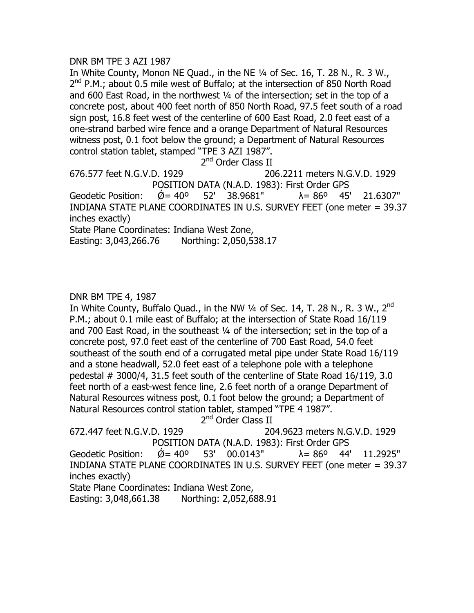## DNR BM TPE 3 AZI 1987

In White County, Monon NE Quad., in the NE ¼ of Sec. 16, T. 28 N., R. 3 W.,  $2^{nd}$  P.M.; about 0.5 mile west of Buffalo; at the intersection of 850 North Road and 600 East Road, in the northwest ¼ of the intersection; set in the top of a concrete post, about 400 feet north of 850 North Road, 97.5 feet south of a road sign post, 16.8 feet west of the centerline of 600 East Road, 2.0 feet east of a one-strand barbed wire fence and a orange Department of Natural Resources witness post, 0.1 foot below the ground; a Department of Natural Resources control station tablet, stamped "TPE 3 AZI 1987".

2<sup>nd</sup> Order Class II

676.577 feet N.G.V.D. 1929 206.2211 meters N.G.V.D. 1929 POSITION DATA (N.A.D. 1983): First Order GPS Geodetic Position:  $\varnothing$  = 40° 52′ 38.9681″  $\lambda$  = 86° 45′ 21.6307″ INDIANA STATE PLANE COORDINATES IN U.S. SURVEY FEET (one meter = 39.37

inches exactly)

State Plane Coordinates: Indiana West Zone,

Easting: 3,043,266.76 Northing: 2,050,538.17

# DNR BM TPE 4, 1987

In White County, Buffalo Quad., in the NW  $\frac{1}{4}$  of Sec. 14, T. 28 N., R. 3 W., 2<sup>nd</sup> P.M.; about 0.1 mile east of Buffalo; at the intersection of State Road 16/119 and 700 East Road, in the southeast ¼ of the intersection; set in the top of a concrete post, 97.0 feet east of the centerline of 700 East Road, 54.0 feet southeast of the south end of a corrugated metal pipe under State Road 16/119 and a stone headwall, 52.0 feet east of a telephone pole with a telephone pedestal # 3000/4, 31.5 feet south of the centerline of State Road 16/119, 3.0 feet north of a east-west fence line, 2.6 feet north of a orange Department of Natural Resources witness post, 0.1 foot below the ground; a Department of Natural Resources control station tablet, stamped "TPE 4 1987".

2<sup>nd</sup> Order Class II

672.447 feet N.G.V.D. 1929 204.9623 meters N.G.V.D. 1929 POSITION DATA (N.A.D. 1983): First Order GPS Geodetic Position:  $\acute{Q} = 40^{\circ}$  53' 00.0143"  $\lambda = 86^{\circ}$  44' 11.2925" INDIANA STATE PLANE COORDINATES IN U.S. SURVEY FEET (one meter = 39.37

inches exactly)

State Plane Coordinates: Indiana West Zone,

Easting: 3,048,661.38 Northing: 2,052,688.91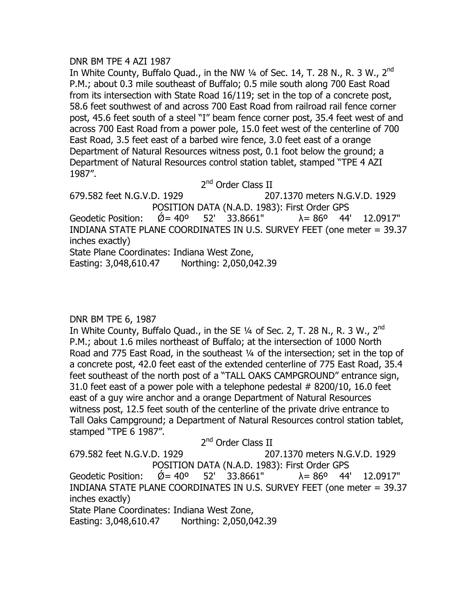#### DNR BM TPE 4 AZI 1987

In White County, Buffalo Quad., in the NW  $\frac{1}{4}$  of Sec. 14, T. 28 N., R. 3 W., 2<sup>nd</sup> P.M.; about 0.3 mile southeast of Buffalo; 0.5 mile south along 700 East Road from its intersection with State Road 16/119; set in the top of a concrete post, 58.6 feet southwest of and across 700 East Road from railroad rail fence corner post, 45.6 feet south of a steel "I" beam fence corner post, 35.4 feet west of and across 700 East Road from a power pole, 15.0 feet west of the centerline of 700 East Road, 3.5 feet east of a barbed wire fence, 3.0 feet east of a orange Department of Natural Resources witness post, 0.1 foot below the ground; a Department of Natural Resources control station tablet, stamped "TPE 4 AZI 1987".

2<sup>nd</sup> Order Class II

679.582 feet N.G.V.D. 1929 207.1370 meters N.G.V.D. 1929 POSITION DATA (N.A.D. 1983): First Order GPS Geodetic Position:  $\dot{\emptyset} = 40^{\circ}$  52' 33.8661"  $\lambda = 86^{\circ}$  44' 12.0917" INDIANA STATE PLANE COORDINATES IN U.S. SURVEY FEET (one meter = 39.37 inches exactly) State Plane Coordinates: Indiana West Zone, Easting: 3,048,610.47 Northing: 2,050,042.39

# DNR BM TPE 6, 1987

In White County, Buffalo Quad., in the SE  $\frac{1}{4}$  of Sec. 2, T. 28 N., R. 3 W., 2<sup>nd</sup> P.M.; about 1.6 miles northeast of Buffalo; at the intersection of 1000 North Road and 775 East Road, in the southeast ¼ of the intersection; set in the top of a concrete post, 42.0 feet east of the extended centerline of 775 East Road, 35.4 feet southeast of the north post of a "TALL OAKS CAMPGROUND" entrance sign, 31.0 feet east of a power pole with a telephone pedestal # 8200/10, 16.0 feet east of a guy wire anchor and a orange Department of Natural Resources witness post, 12.5 feet south of the centerline of the private drive entrance to Tall Oaks Campground; a Department of Natural Resources control station tablet, stamped "TPE 6 1987".  $2nd$   $Q_{\text{rel}}$   $Q_{\text{rel}}$   $Z_{\text{rel}}$ 

| 2 <sup>11</sup> Order Class II                                         |                                                                                                        |  |  |  |  |
|------------------------------------------------------------------------|--------------------------------------------------------------------------------------------------------|--|--|--|--|
| 679.582 feet N.G.V.D. 1929                                             | 207.1370 meters N.G.V.D. 1929                                                                          |  |  |  |  |
| POSITION DATA (N.A.D. 1983): First Order GPS                           |                                                                                                        |  |  |  |  |
|                                                                        | Geodetic Position: $\acute{\mathcal{Q}} = 40^{\circ}$ 52' 33.8661" $\lambda = 86^{\circ}$ 44' 12.0917" |  |  |  |  |
| INDIANA STATE PLANE COORDINATES IN U.S. SURVEY FEET (one meter = 39.37 |                                                                                                        |  |  |  |  |
| inches exactly)                                                        |                                                                                                        |  |  |  |  |
| State Plane Coordinates: Indiana West Zone,                            |                                                                                                        |  |  |  |  |
| Easting: 3,048,610.47 Northing: 2,050,042.39                           |                                                                                                        |  |  |  |  |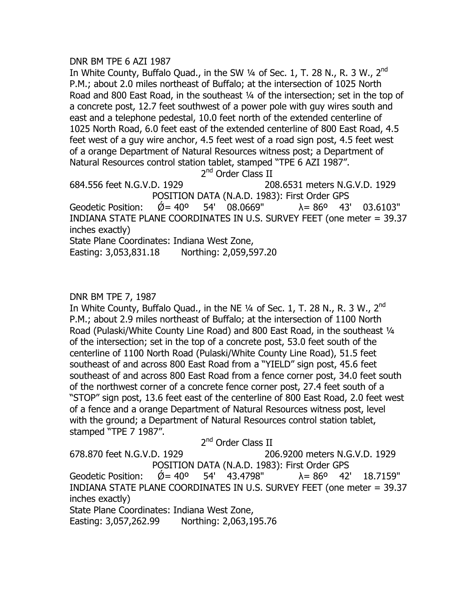## DNR BM TPE 6 AZI 1987

In White County, Buffalo Quad., in the SW  $\frac{1}{4}$  of Sec. 1, T. 28 N., R. 3 W., 2<sup>nd</sup> P.M.; about 2.0 miles northeast of Buffalo; at the intersection of 1025 North Road and 800 East Road, in the southeast ¼ of the intersection; set in the top of a concrete post, 12.7 feet southwest of a power pole with guy wires south and east and a telephone pedestal, 10.0 feet north of the extended centerline of 1025 North Road, 6.0 feet east of the extended centerline of 800 East Road, 4.5 feet west of a guy wire anchor, 4.5 feet west of a road sign post, 4.5 feet west of a orange Department of Natural Resources witness post; a Department of Natural Resources control station tablet, stamped "TPE 6 AZI 1987".

2<sup>nd</sup> Order Class II

684.556 feet N.G.V.D. 1929 208.6531 meters N.G.V.D. 1929 POSITION DATA (N.A.D. 1983): First Order GPS Geodetic Position:  $\acute{\theta} = 40^{\circ}$  54' 08.0669"  $\lambda = 86^{\circ}$  43' 03.6103" INDIANA STATE PLANE COORDINATES IN U.S. SURVEY FEET (one meter = 39.37 inches exactly) State Plane Coordinates: Indiana West Zone,

Easting: 3,053,831.18 Northing: 2,059,597.20

# DNR BM TPE 7, 1987

In White County, Buffalo Quad., in the NE  $\frac{1}{4}$  of Sec. 1, T. 28 N., R. 3 W., 2<sup>nd</sup> P.M.; about 2.9 miles northeast of Buffalo; at the intersection of 1100 North Road (Pulaski/White County Line Road) and 800 East Road, in the southeast 1/4 of the intersection; set in the top of a concrete post, 53.0 feet south of the centerline of 1100 North Road (Pulaski/White County Line Road), 51.5 feet southeast of and across 800 East Road from a "YIELD" sign post, 45.6 feet southeast of and across 800 East Road from a fence corner post, 34.0 feet south of the northwest corner of a concrete fence corner post, 27.4 feet south of a "STOP" sign post, 13.6 feet east of the centerline of 800 East Road, 2.0 feet west of a fence and a orange Department of Natural Resources witness post, level with the ground; a Department of Natural Resources control station tablet, stamped "TPE 7 1987".

2<sup>nd</sup> Order Class II 678.870 feet N.G.V.D. 1929 206.9200 meters N.G.V.D. 1929 POSITION DATA (N.A.D. 1983): First Order GPS Geodetic Position:  $\check{Q} = 40^{\circ}$  54' 43.4798"  $\lambda = 86^{\circ}$  42' 18.7159" INDIANA STATE PLANE COORDINATES IN U.S. SURVEY FEET (one meter = 39.37 inches exactly) State Plane Coordinates: Indiana West Zone, Easting: 3,057,262.99 Northing: 2,063,195.76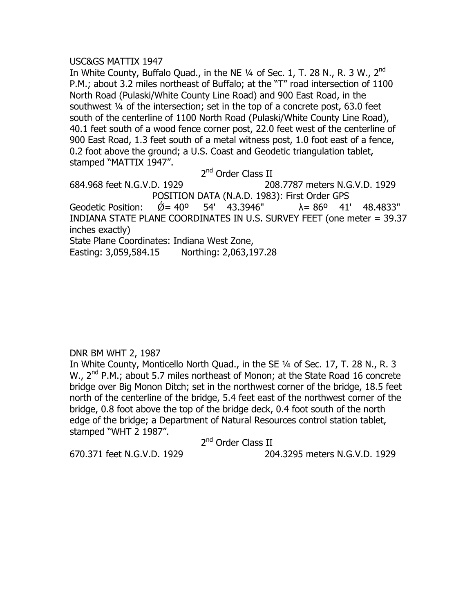#### USC&GS MATTIX 1947

In White County, Buffalo Quad., in the NE  $\frac{1}{4}$  of Sec. 1, T. 28 N., R. 3 W., 2<sup>nd</sup> P.M.; about 3.2 miles northeast of Buffalo; at the "T" road intersection of 1100 North Road (Pulaski/White County Line Road) and 900 East Road, in the southwest ¼ of the intersection; set in the top of a concrete post, 63.0 feet south of the centerline of 1100 North Road (Pulaski/White County Line Road), 40.1 feet south of a wood fence corner post, 22.0 feet west of the centerline of 900 East Road, 1.3 feet south of a metal witness post, 1.0 foot east of a fence, 0.2 foot above the ground; a U.S. Coast and Geodetic triangulation tablet, stamped "MATTIX 1947".

2<sup>nd</sup> Order Class II

684.968 feet N.G.V.D. 1929 208.7787 meters N.G.V.D. 1929 POSITION DATA (N.A.D. 1983): First Order GPS Geodetic Position:  $\check{Q} = 40^{\circ}$  54' 43.3946"  $\lambda = 86^{\circ}$  41' 48.4833" INDIANA STATE PLANE COORDINATES IN U.S. SURVEY FEET (one meter = 39.37 inches exactly) State Plane Coordinates: Indiana West Zone, Easting: 3,059,584.15 Northing: 2,063,197.28

DNR BM WHT 2, 1987

In White County, Monticello North Quad., in the SE ¼ of Sec. 17, T. 28 N., R. 3 W., 2<sup>nd</sup> P.M.; about 5.7 miles northeast of Monon; at the State Road 16 concrete bridge over Big Monon Ditch; set in the northwest corner of the bridge, 18.5 feet north of the centerline of the bridge, 5.4 feet east of the northwest corner of the bridge, 0.8 foot above the top of the bridge deck, 0.4 foot south of the north edge of the bridge; a Department of Natural Resources control station tablet, stamped "WHT 2 1987".

2<sup>nd</sup> Order Class II

670.371 feet N.G.V.D. 1929 204.3295 meters N.G.V.D. 1929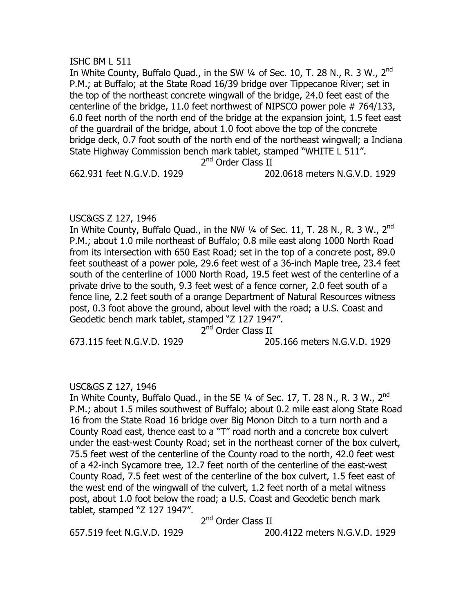#### ISHC BM L 511

In White County, Buffalo Quad., in the SW  $\frac{1}{4}$  of Sec. 10, T. 28 N., R. 3 W., 2<sup>nd</sup> P.M.; at Buffalo; at the State Road 16/39 bridge over Tippecanoe River; set in the top of the northeast concrete wingwall of the bridge, 24.0 feet east of the centerline of the bridge, 11.0 feet northwest of NIPSCO power pole # 764/133, 6.0 feet north of the north end of the bridge at the expansion joint, 1.5 feet east of the guardrail of the bridge, about 1.0 foot above the top of the concrete bridge deck, 0.7 foot south of the north end of the northeast wingwall; a Indiana State Highway Commission bench mark tablet, stamped "WHITE L 511".

2<sup>nd</sup> Order Class II

662.931 feet N.G.V.D. 1929 202.0618 meters N.G.V.D. 1929

#### USC&GS Z 127, 1946

In White County, Buffalo Quad., in the NW  $\frac{1}{4}$  of Sec. 11, T. 28 N., R. 3 W., 2<sup>nd</sup> P.M.; about 1.0 mile northeast of Buffalo; 0.8 mile east along 1000 North Road from its intersection with 650 East Road; set in the top of a concrete post, 89.0 feet southeast of a power pole, 29.6 feet west of a 36-inch Maple tree, 23.4 feet south of the centerline of 1000 North Road, 19.5 feet west of the centerline of a private drive to the south, 9.3 feet west of a fence corner, 2.0 feet south of a fence line, 2.2 feet south of a orange Department of Natural Resources witness post, 0.3 foot above the ground, about level with the road; a U.S. Coast and Geodetic bench mark tablet, stamped "Z 127 1947".

2<sup>nd</sup> Order Class II

673.115 feet N.G.V.D. 1929 205.166 meters N.G.V.D. 1929

# USC&GS Z 127, 1946

In White County, Buffalo Quad., in the SE  $\frac{1}{4}$  of Sec. 17, T. 28 N., R. 3 W., 2<sup>nd</sup> P.M.; about 1.5 miles southwest of Buffalo; about 0.2 mile east along State Road 16 from the State Road 16 bridge over Big Monon Ditch to a turn north and a County Road east, thence east to a "T" road north and a concrete box culvert under the east-west County Road; set in the northeast corner of the box culvert, 75.5 feet west of the centerline of the County road to the north, 42.0 feet west of a 42-inch Sycamore tree, 12.7 feet north of the centerline of the east-west County Road, 7.5 feet west of the centerline of the box culvert, 1.5 feet east of the west end of the wingwall of the culvert, 1.2 feet north of a metal witness post, about 1.0 foot below the road; a U.S. Coast and Geodetic bench mark tablet, stamped "Z 127 1947".

2<sup>nd</sup> Order Class II

657.519 feet N.G.V.D. 1929 200.4122 meters N.G.V.D. 1929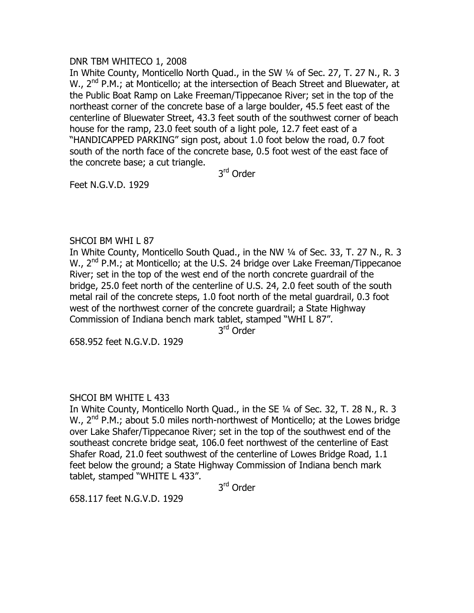#### DNR TBM WHITECO 1, 2008

In White County, Monticello North Quad., in the SW ¼ of Sec. 27, T. 27 N., R. 3 W., 2<sup>nd</sup> P.M.; at Monticello; at the intersection of Beach Street and Bluewater, at the Public Boat Ramp on Lake Freeman/Tippecanoe River; set in the top of the northeast corner of the concrete base of a large boulder, 45.5 feet east of the centerline of Bluewater Street, 43.3 feet south of the southwest corner of beach house for the ramp, 23.0 feet south of a light pole, 12.7 feet east of a "HANDICAPPED PARKING" sign post, about 1.0 foot below the road, 0.7 foot south of the north face of the concrete base, 0.5 foot west of the east face of the concrete base; a cut triangle.

3rd Order

Feet N.G.V.D. 1929

# SHCOI BM WHI L 87

In White County, Monticello South Quad., in the NW ¼ of Sec. 33, T. 27 N., R. 3 W., 2<sup>nd</sup> P.M.; at Monticello; at the U.S. 24 bridge over Lake Freeman/Tippecanoe River; set in the top of the west end of the north concrete guardrail of the bridge, 25.0 feet north of the centerline of U.S. 24, 2.0 feet south of the south metal rail of the concrete steps, 1.0 foot north of the metal guardrail, 0.3 foot west of the northwest corner of the concrete guardrail; a State Highway Commission of Indiana bench mark tablet, stamped "WHI L 87".

3rd Order

658.952 feet N.G.V.D. 1929

# SHCOI BM WHITE L 433

In White County, Monticello North Quad., in the SE ¼ of Sec. 32, T. 28 N., R. 3 W.,  $2^{nd}$  P.M.; about 5.0 miles north-northwest of Monticello; at the Lowes bridge over Lake Shafer/Tippecanoe River; set in the top of the southwest end of the southeast concrete bridge seat, 106.0 feet northwest of the centerline of East Shafer Road, 21.0 feet southwest of the centerline of Lowes Bridge Road, 1.1 feet below the ground; a State Highway Commission of Indiana bench mark tablet, stamped "WHITE L 433".

3rd Order

658.117 feet N.G.V.D. 1929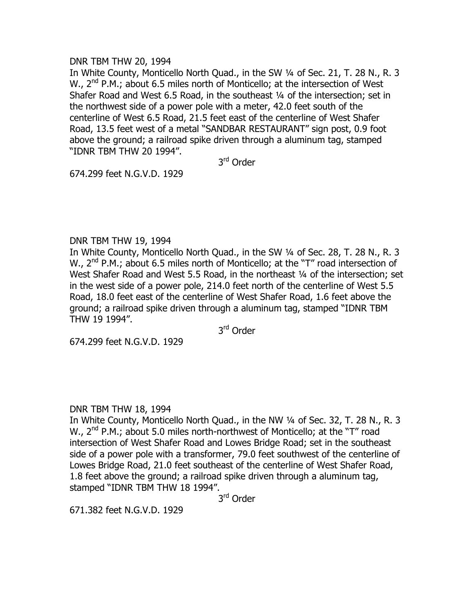#### DNR TBM THW 20, 1994

In White County, Monticello North Quad., in the SW 1/4 of Sec. 21, T. 28 N., R. 3 W.,  $2^{nd}$  P.M.; about 6.5 miles north of Monticello; at the intersection of West Shafer Road and West 6.5 Road, in the southeast 1/4 of the intersection; set in the northwest side of a power pole with a meter, 42.0 feet south of the centerline of West 6.5 Road, 21.5 feet east of the centerline of West Shafer Road, 13.5 feet west of a metal "SANDBAR RESTAURANT" sign post, 0.9 foot above the ground; a railroad spike driven through a aluminum tag, stamped "IDNR TBM THW 20 1994".

3rd Order

674.299 feet N.G.V.D. 1929

#### DNR TBM THW 19, 1994

In White County, Monticello North Quad., in the SW ¼ of Sec. 28, T. 28 N., R. 3 W.,  $2^{nd}$  P.M.; about 6.5 miles north of Monticello; at the "T" road intersection of West Shafer Road and West 5.5 Road, in the northeast 1/4 of the intersection; set in the west side of a power pole, 214.0 feet north of the centerline of West 5.5 Road, 18.0 feet east of the centerline of West Shafer Road, 1.6 feet above the ground; a railroad spike driven through a aluminum tag, stamped "IDNR TBM THW 19 1994".

3rd Order

674.299 feet N.G.V.D. 1929

# DNR TBM THW 18, 1994

In White County, Monticello North Quad., in the NW ¼ of Sec. 32, T. 28 N., R. 3 W., 2<sup>nd</sup> P.M.; about 5.0 miles north-northwest of Monticello; at the "T" road intersection of West Shafer Road and Lowes Bridge Road; set in the southeast side of a power pole with a transformer, 79.0 feet southwest of the centerline of Lowes Bridge Road, 21.0 feet southeast of the centerline of West Shafer Road, 1.8 feet above the ground; a railroad spike driven through a aluminum tag, stamped "IDNR TBM THW 18 1994".

3rd Order

671.382 feet N.G.V.D. 1929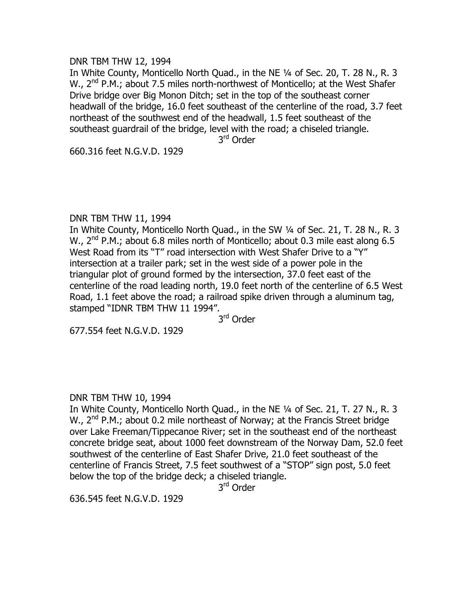#### DNR TBM THW 12, 1994

In White County, Monticello North Quad., in the NE ¼ of Sec. 20, T. 28 N., R. 3 W., 2<sup>nd</sup> P.M.; about 7.5 miles north-northwest of Monticello; at the West Shafer Drive bridge over Big Monon Ditch; set in the top of the southeast corner headwall of the bridge, 16.0 feet southeast of the centerline of the road, 3.7 feet northeast of the southwest end of the headwall, 1.5 feet southeast of the southeast guardrail of the bridge, level with the road; a chiseled triangle.

3<sup>rd</sup> Order

660.316 feet N.G.V.D. 1929

#### DNR TBM THW 11, 1994

In White County, Monticello North Quad., in the SW ¼ of Sec. 21, T. 28 N., R. 3 W.,  $2^{nd}$  P.M.; about 6.8 miles north of Monticello; about 0.3 mile east along 6.5 West Road from its "T" road intersection with West Shafer Drive to a "Y" intersection at a trailer park; set in the west side of a power pole in the triangular plot of ground formed by the intersection, 37.0 feet east of the centerline of the road leading north, 19.0 feet north of the centerline of 6.5 West Road, 1.1 feet above the road; a railroad spike driven through a aluminum tag, stamped "IDNR TBM THW 11 1994".

3<sup>rd</sup> Order

677.554 feet N.G.V.D. 1929

# DNR TBM THW 10, 1994

In White County, Monticello North Quad., in the NE ¼ of Sec. 21, T. 27 N., R. 3 W.,  $2^{nd}$  P.M.; about 0.2 mile northeast of Norway; at the Francis Street bridge over Lake Freeman/Tippecanoe River; set in the southeast end of the northeast concrete bridge seat, about 1000 feet downstream of the Norway Dam, 52.0 feet southwest of the centerline of East Shafer Drive, 21.0 feet southeast of the centerline of Francis Street, 7.5 feet southwest of a "STOP" sign post, 5.0 feet below the top of the bridge deck; a chiseled triangle.

3rd Order

636.545 feet N.G.V.D. 1929